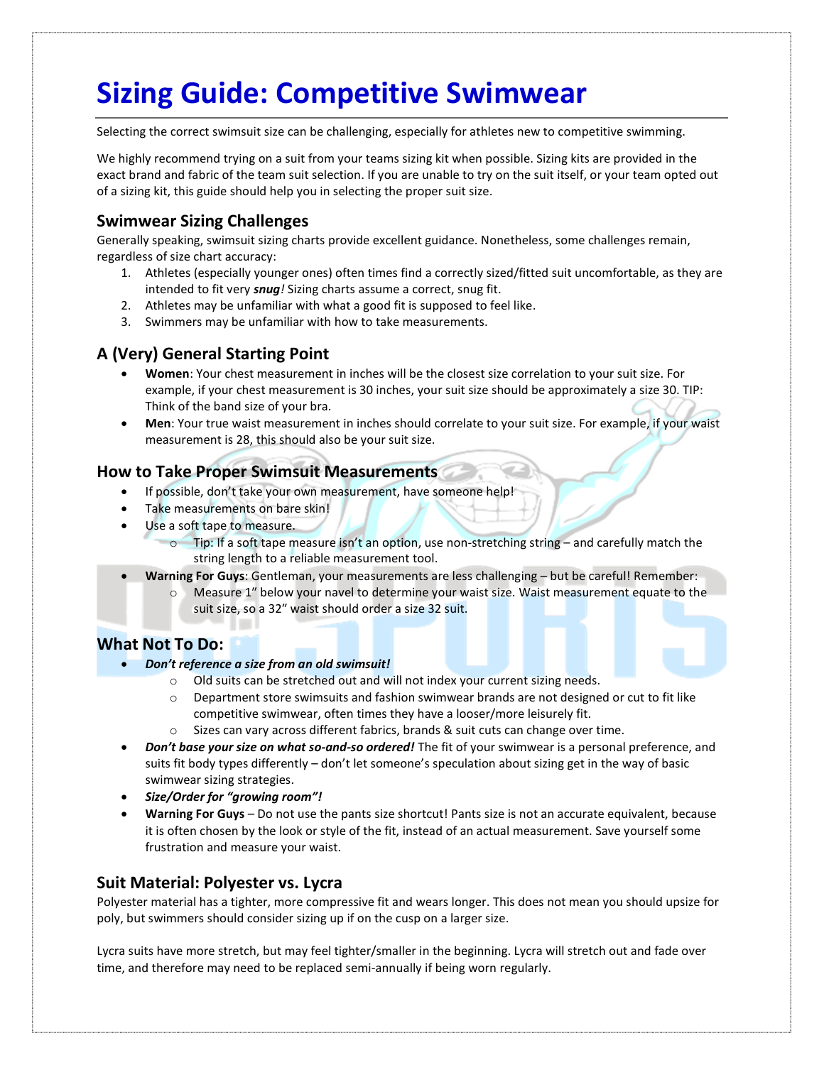# Sizing Guide: Competitive Swimwear

Selecting the correct swimsuit size can be challenging, especially for athletes new to competitive swimming.

We highly recommend trying on a suit from your teams sizing kit when possible. Sizing kits are provided in the exact brand and fabric of the team suit selection. If you are unable to try on the suit itself, or your team opted out of a sizing kit, this guide should help you in selecting the proper suit size.

## Swimwear Sizing Challenges

Generally speaking, swimsuit sizing charts provide excellent guidance. Nonetheless, some challenges remain, regardless of size chart accuracy:

- 1. Athletes (especially younger ones) often times find a correctly sized/fitted suit uncomfortable, as they are intended to fit very *snug!* Sizing charts assume a correct, snug fit.
- 2. Athletes may be unfamiliar with what a good fit is supposed to feel like.
- 3. Swimmers may be unfamiliar with how to take measurements.

## A (Very) General Starting Point

- Women: Your chest measurement in inches will be the closest size correlation to your suit size. For example, if your chest measurement is 30 inches, your suit size should be approximately a size 30. TIP: Think of the band size of your bra.
- Men: Your true waist measurement in inches should correlate to your suit size. For example, if your waist measurement is 28, this should also be your suit size.

## How to Take Proper Swimsuit Measurements

- If possible, don't take your own measurement, have someone help!
- Take measurements on bare skin!
- Use a soft tape to measure.
	- o Tip: If a soft tape measure isn't an option, use non-stretching string and carefully match the string length to a reliable measurement tool.
- Warning For Guys: Gentleman, your measurements are less challenging but be careful! Remember:
	- o Measure 1″ below your navel to determine your waist size. Waist measurement equate to the suit size, so a 32″ waist should order a size 32 suit.

### What Not To Do:

- Don't reference a size from an old swimsuit!
	- o Old suits can be stretched out and will not index your current sizing needs.
	- $\circ$  Department store swimsuits and fashion swimwear brands are not designed or cut to fit like competitive swimwear, often times they have a looser/more leisurely fit.
	- o Sizes can vary across different fabrics, brands & suit cuts can change over time.
- Don't base your size on what so-and-so ordered! The fit of your swimwear is a personal preference, and suits fit body types differently – don't let someone's speculation about sizing get in the way of basic swimwear sizing strategies.
- Size/Order for "growing room"!
- Warning For Guys Do not use the pants size shortcut! Pants size is not an accurate equivalent, because it is often chosen by the look or style of the fit, instead of an actual measurement. Save yourself some frustration and measure your waist.

## Suit Material: Polyester vs. Lycra

Polyester material has a tighter, more compressive fit and wears longer. This does not mean you should upsize for poly, but swimmers should consider sizing up if on the cusp on a larger size.

Lycra suits have more stretch, but may feel tighter/smaller in the beginning. Lycra will stretch out and fade over time, and therefore may need to be replaced semi-annually if being worn regularly.